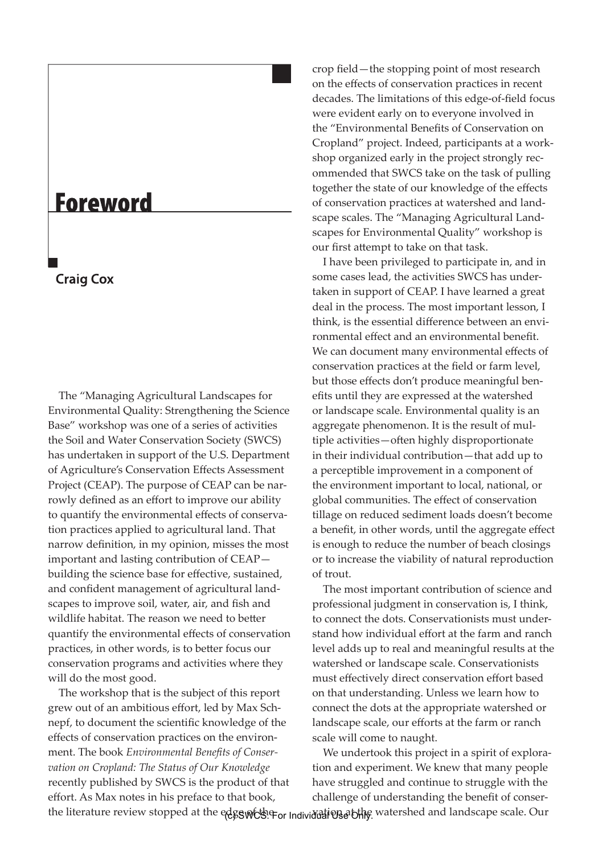## **Foreword**

## **Craig Cox**

The "Managing Agricultural Landscapes for Environmental Quality: Strengthening the Science Base" workshop was one of a series of activities the Soil and Water Conservation Society (SWCS) has undertaken in support of the U.S. Department of Agriculture's Conservation Effects Assessment Project (CEAP). The purpose of CEAP can be narrowly defined as an effort to improve our ability to quantify the environmental effects of conservation practices applied to agricultural land. That narrow definition, in my opinion, misses the most important and lasting contribution of CEAP building the science base for effective, sustained, and confident management of agricultural landscapes to improve soil, water, air, and fish and wildlife habitat. The reason we need to better quantify the environmental effects of conservation practices, in other words, is to better focus our conservation programs and activities where they will do the most good.

The workshop that is the subject of this report grew out of an ambitious effort, led by Max Schnepf, to document the scientific knowledge of the effects of conservation practices on the environment. The book *Environmental Benefits of Conservation on Cropland: The Status of Our Knowledge* recently published by SWCS is the product of that effort. As Max notes in his preface to that book, the literature review stopped at the edge wth For Individual Use blive watershed and landscape scale. Our

crop field—the stopping point of most research on the effects of conservation practices in recent decades. The limitations of this edge-of-field focus were evident early on to everyone involved in the "Environmental Benefits of Conservation on Cropland" project. Indeed, participants at a workshop organized early in the project strongly recommended that SWCS take on the task of pulling together the state of our knowledge of the effects of conservation practices at watershed and landscape scales. The "Managing Agricultural Landscapes for Environmental Quality" workshop is our first attempt to take on that task.

I have been privileged to participate in, and in some cases lead, the activities SWCS has undertaken in support of CEAP. I have learned a great deal in the process. The most important lesson, I think, is the essential difference between an environmental effect and an environmental benefit. We can document many environmental effects of conservation practices at the field or farm level, but those effects don't produce meaningful benefits until they are expressed at the watershed or landscape scale. Environmental quality is an aggregate phenomenon. It is the result of multiple activities—often highly disproportionate in their individual contribution—that add up to a perceptible improvement in a component of the environment important to local, national, or global communities. The effect of conservation tillage on reduced sediment loads doesn't become a benefit, in other words, until the aggregate effect is enough to reduce the number of beach closings or to increase the viability of natural reproduction of trout.

The most important contribution of science and professional judgment in conservation is, I think, to connect the dots. Conservationists must understand how individual effort at the farm and ranch level adds up to real and meaningful results at the watershed or landscape scale. Conservationists must effectively direct conservation effort based on that understanding. Unless we learn how to connect the dots at the appropriate watershed or landscape scale, our efforts at the farm or ranch scale will come to naught.

We undertook this project in a spirit of exploration and experiment. We knew that many people have struggled and continue to struggle with the challenge of understanding the benefit of conser-